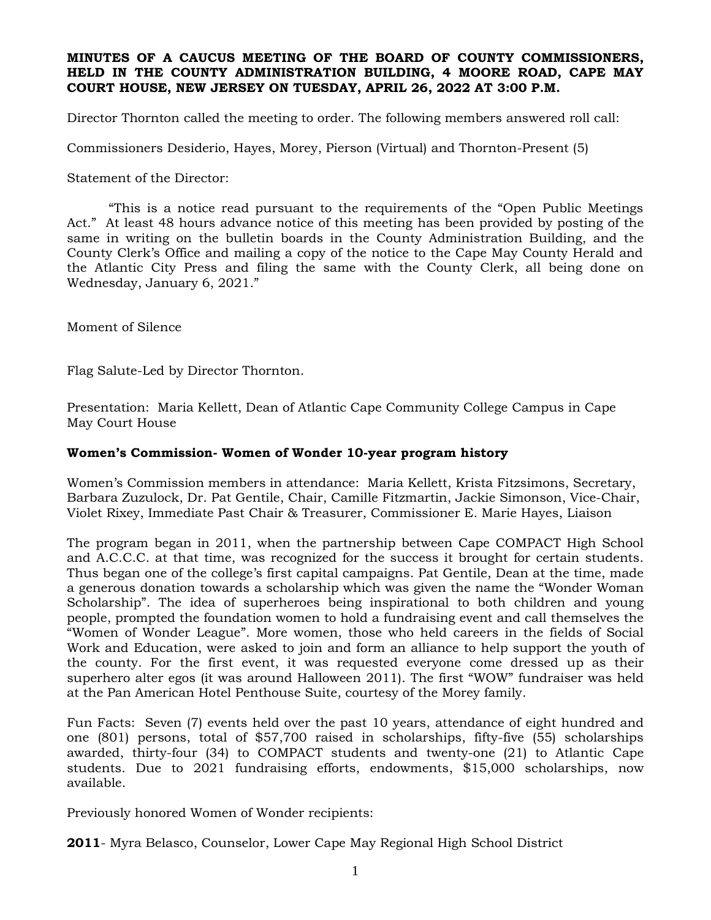### **MINUTES OF A CAUCUS MEETING OF THE BOARD OF COUNTY COMMISSIONERS, HELD IN THE COUNTY ADMINISTRATION BUILDING, 4 MOORE ROAD, CAPE MAY COURT HOUSE, NEW JERSEY ON TUESDAY, APRIL 26, 2022 AT 3:00 P.M.**

Director Thornton called the meeting to order. The following members answered roll call:

Commissioners Desiderio, Hayes, Morey, Pierson (Virtual) and Thornton-Present (5)

Statement of the Director:

"This is a notice read pursuant to the requirements of the "Open Public Meetings Act." At least 48 hours advance notice of this meeting has been provided by posting of the same in writing on the bulletin boards in the County Administration Building, and the County Clerk's Office and mailing a copy of the notice to the Cape May County Herald and the Atlantic City Press and filing the same with the County Clerk, all being done on Wednesday, January 6, 2021."

Moment of Silence

Flag Salute-Led by Director Thornton.

Presentation: Maria Kellett, Dean of Atlantic Cape Community College Campus in Cape May Court House

### **Women's Commission- Women of Wonder 10-year program history**

Women's Commission members in attendance: Maria Kellett, Krista Fitzsimons, Secretary, Barbara Zuzulock, Dr. Pat Gentile, Chair, Camille Fitzmartin, Jackie Simonson, Vice-Chair, Violet Rixey, Immediate Past Chair & Treasurer, Commissioner E. Marie Hayes, Liaison

The program began in 2011, when the partnership between Cape COMPACT High School and A.C.C.C. at that time, was recognized for the success it brought for certain students. Thus began one of the college's first capital campaigns. Pat Gentile, Dean at the time, made a generous donation towards a scholarship which was given the name the "Wonder Woman Scholarship". The idea of superheroes being inspirational to both children and young people, prompted the foundation women to hold a fundraising event and call themselves the "Women of Wonder League". More women, those who held careers in the fields of Social Work and Education, were asked to join and form an alliance to help support the youth of the county. For the first event, it was requested everyone come dressed up as their superhero alter egos (it was around Halloween 2011). The first "WOW" fundraiser was held at the Pan American Hotel Penthouse Suite, courtesy of the Morey family.

Fun Facts: Seven (7) events held over the past 10 years, attendance of eight hundred and one (801) persons, total of \$57,700 raised in scholarships, fifty-five (55) scholarships awarded, thirty-four (34) to COMPACT students and twenty-one (21) to Atlantic Cape students. Due to 2021 fundraising efforts, endowments, \$15,000 scholarships, now available.

Previously honored Women of Wonder recipients:

**2011**- Myra Belasco, Counselor, Lower Cape May Regional High School District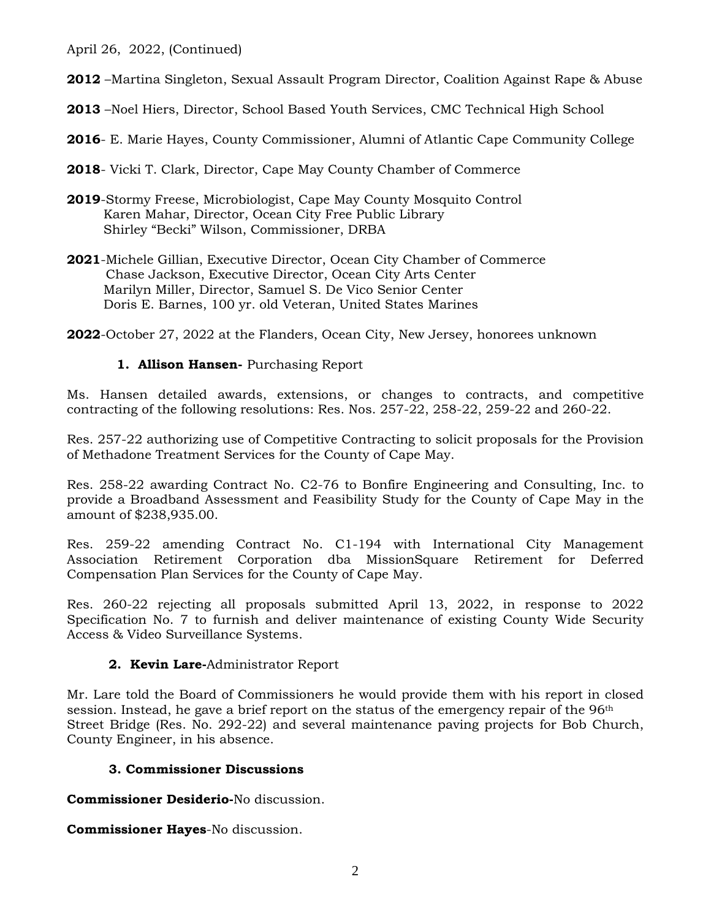April 26, 2022, (Continued)

**2012** –Martina Singleton, Sexual Assault Program Director, Coalition Against Rape & Abuse

**2013** –Noel Hiers, Director, School Based Youth Services, CMC Technical High School

**2016**- E. Marie Hayes, County Commissioner, Alumni of Atlantic Cape Community College

**2018**- Vicki T. Clark, Director, Cape May County Chamber of Commerce

- **2019**-Stormy Freese, Microbiologist, Cape May County Mosquito Control Karen Mahar, Director, Ocean City Free Public Library Shirley "Becki" Wilson, Commissioner, DRBA
- **2021**-Michele Gillian, Executive Director, Ocean City Chamber of Commerce Chase Jackson, Executive Director, Ocean City Arts Center Marilyn Miller, Director, Samuel S. De Vico Senior Center Doris E. Barnes, 100 yr. old Veteran, United States Marines

**2022**-October 27, 2022 at the Flanders, Ocean City, New Jersey, honorees unknown

## **1. Allison Hansen-** Purchasing Report

Ms. Hansen detailed awards, extensions, or changes to contracts, and competitive contracting of the following resolutions: Res. Nos. 257-22, 258-22, 259-22 and 260-22.

Res. 257-22 authorizing use of Competitive Contracting to solicit proposals for the Provision of Methadone Treatment Services for the County of Cape May.

Res. 258-22 awarding Contract No. C2-76 to Bonfire Engineering and Consulting, Inc. to provide a Broadband Assessment and Feasibility Study for the County of Cape May in the amount of \$238,935.00.

Res. 259-22 amending Contract No. C1-194 with International City Management Association Retirement Corporation dba MissionSquare Retirement for Deferred Compensation Plan Services for the County of Cape May.

Res. 260-22 rejecting all proposals submitted April 13, 2022, in response to 2022 Specification No. 7 to furnish and deliver maintenance of existing County Wide Security Access & Video Surveillance Systems.

### **2. Kevin Lare-**Administrator Report

Mr. Lare told the Board of Commissioners he would provide them with his report in closed session. Instead, he gave a brief report on the status of the emergency repair of the 96<sup>th</sup> Street Bridge (Res. No. 292-22) and several maintenance paving projects for Bob Church, County Engineer, in his absence.

# **3. Commissioner Discussions**

**Commissioner Desiderio-**No discussion.

**Commissioner Hayes**-No discussion.